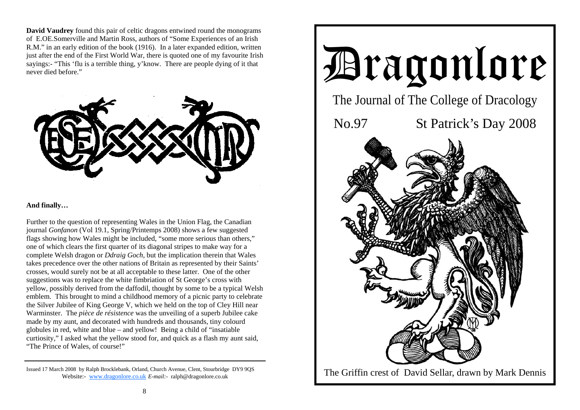**David Vaudrey** found this pair of celtic dragons entwined round the monograms of E.OE.Somerville and Martin Ross, authors of "Some Experiences of an Irish R.M." in an early edition of the book (1916). In a later expanded edition, written just after the end of the First World War, there is quoted one of my favourite Irish sayings:- "This 'flu is a terrible thing, y'know. There are people dying of it that never died before."



#### **And finally…**

Further to the question of representing Wales in the Union Flag, the Canadian journal *Gonfanon* (Vol 19.1, Spring/Printemps 2008) shows a few suggested flags showing how Wales might be included, "some more serious than others," one of which clears the first quarter of its diagonal stripes to make way for a complete Welsh dragon or *Ddraig Goch*, but the implication therein that Wales takes precedence over the other nations of Britain as represented by their Saints' crosses, would surely not be at all acceptable to these latter. One of the other suggestions was to replace the white fimbriation of St George's cross with yellow, possibly derived from the daffodil, thought by some to be a typical Welsh emblem. This brought to mind a childhood memory of a picnic party to celebrate the Silver Jubilee of King George V, which we held on the top of Cley Hill near Warminster. The *pièce de résistence* was the unveiling of a superb Jubilee cake made by my aunt, and decorated with hundreds and thousands, tiny colourd globules in red, white and blue – and yellow! Being a child of "insatiable curtiosity," I asked what the yellow stood for, and quick as a flash my aunt said, "The Prince of Wales, of course!"



Issued 17 March 2008 by Ralph Brocklebank, Orland, Church Avenue, Clent, Stourbridge DY9 9QS Website:- www.dragonlore.co.uk *E-mail:-* ralph@dragonlore.co.uk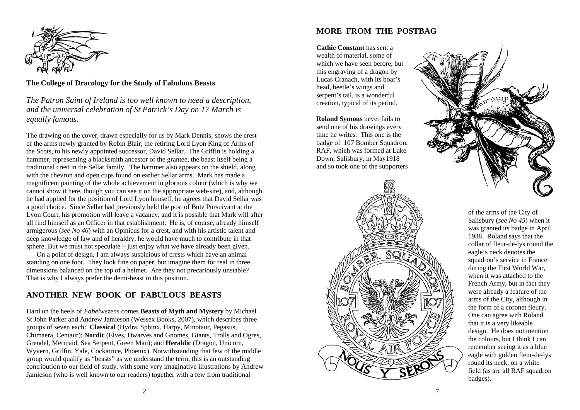

**The College of Dracology for the Study of Fabulous Beasts** 

*The Patron Saint of Ireland is too well known to need a description, and the universal celebration of St Patrick's Day on 17 March is equally famous.* 

The drawing on the cover, drawn especially for us by Mark Dennis, shows the crest of the arms newly granted by Robin Blair, the retiring Lord Lyon King of Arms of the Scots, to his newly appointed successor, David Sellar. The Griffin is holding a hammer, representing a blacksmith ancestor of the grantee, the beast itself being a traditional crest in the Sellar family. The hammer also appears on the shield, along with the chevron and open cups found on earlier Sellar arms. Mark has made a magnificent painting of the whole achievement in glorious colour (which is why we cannot show it here, though you can see it on the appropriate web-site), and, although he had applied for the position of Lord Lyon himself, he agrees that David Sellar was a good choice. Since Sellar had previously held the post of Bute Pursuivant at the Lyon Court, his promotion will leave a vacancy, and it is possible that Mark will after all find himself as an Officer in that establishment. He is, of course, already himself armigerous (*see No 46*) with an Opinicus for a crest, and with his artistic talent and deep knowledge of law and of heraldry, he would have much to contribute in that sphere. But we must not speculate – just enjoy what we have already been given.

 On a point of design, I am always suspicious of crests which have an animal standing on one foot. They look fine on paper, but imagine them for real in three dimensions balanced on the top of a helmet. Are they not precariously unstable? That is why I always prefer the demi-beast in this position.

# **ANOTHER NEW BOOK OF FABULOUS BEASTS**

Hard on the heels of *Fabelwezens* comes **Beasts of Myth and Mystery** by Michael St John Parker and Andrew Jamieson (Wessex Books, 2007), which describes three groups of seven each: **Classical** (Hydra, Sphinx, Harpy, Minotaur, Pegasus, Chimaera, Centaur); **Nordic** (Elves, Dwarves and Gnomes, Giants, Trolls and Ogres, Grendel, Mermaid, Sea Serpent, Green Man); and **Heraldic** (Dragon, Unicorn, Wyvern, Griffin, Yale, Cockatrice, Phoenix). Notwithstanding that few of the middle group would qualify as "beasts" as we understand the term, this is an outstanding contribution to our field of study, with some very imaginative illustrations by Andrew Jamieson (who is well known to our readers) together with a few from traditional

### **MORE FROM THE POSTBAG**

**Cathie Constant** has sent a wealth of material, some of which we have seen before, but this engraving of a dragon by Lucas Cranach, with its boar's head, beetle's wings and serpent's tail, is a wonderful creation, typical of its period.

**Roland Symons** never fails to send one of his drawings every time he writes. This one is the badge of 107 Bomber Squadron, RAF, which was formed at Lake Down, Salisbury, in May1918 and so took one of the supporters





of the arms of the City of Salisbury (*see No 45*) when it was granted its badge in April 1938. Roland says that the collar of fleur-de-lys round the eagle's neck denotes the squadron's service in France during the First World War, when it was attached to the French Army, but in fact they were already a feature of the arms of the City, although in the form of a coronet fleury. One can agree with Roland that it is a very likeable design. He does not mention the colours, but I think I can remember seeing it as a blue eagle with golden fleur-de-lys round its neck, on a white field (as are all RAF squadron badges).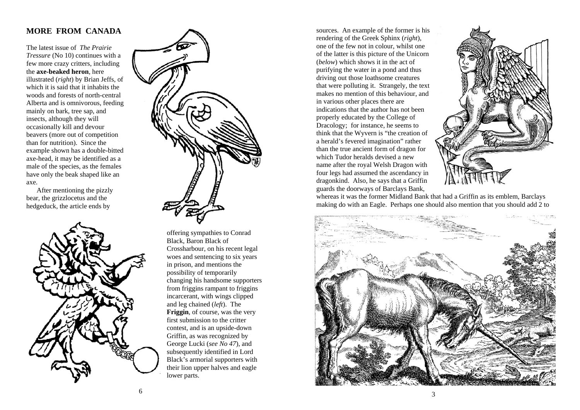# **MORE FROM CANADA**

The latest issue of *The Prairie Tressure* (No 10) continues with a few more crazy critters, including the **axe-beaked heron**, here illustrated (*right*) by Brian Jeffs, of which it is said that it inhabits the woods and forests of north-central Alberta and is omnivorous, feeding mainly on bark, tree sap, and insects, although they will occasionally kill and devour beavers (more out of competition than for nutrition). Since the example shown has a double-bitted axe-head, it may be identified as a male of the species, as the females have only the beak shaped like an axe.

 After mentioning the pizzly bear, the grizzlocetus and the hedgeduck, the article ends by





offering sympathies to Conrad Black, Baron Black of Crossharbour, on his recent legal woes and sentencing to six years in prison, and mentions the possibility of temporarily changing his handsome supporters from friggins rampant to friggins incarcerant, with wings clipped and leg chained (*left*). The **Friggin**, of course, was the very first submission to the critter contest, and is an upside-down Griffin, as was recognized by George Lucki (*see No 47*), and subsequently identified in Lord Black's armorial supporters with their lion upper halves and eagle lower parts.

sources. An example of the former is his rendering of the Greek Sphinx (*right*), one of the few not in colour, whilst one of the latter is this picture of the Unicorn (*below*) which shows it in the act of purifying the water in a pond and thus driving out those loathsome creatures that were polluting it. Strangely, the text makes no mention of this behaviour, and in various other places there are indications that the author has not been properly educated by the College of Dracology; for instance, he seems to think that the Wyvern is "the creation of a herald's fevered imagination" rather than the true ancient form of dragon for which Tudor heralds devised a new name after the royal Welsh Dragon with four legs had assumed the ascendancy in dragonkind. Also, he says that a Griffin guards the doorways of Barclays Bank,



whereas it was the former Midland Bank that had a Griffin as its emblem, Barclays making do with an Eagle. Perhaps one should also mention that you should add 2 to